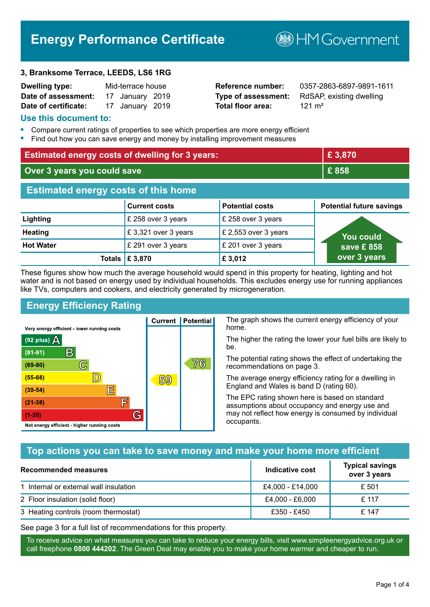# **Energy Performance Certificate**

#### **3, Branksome Terrace, LEEDS, LS6 1RG**

| <b>Dwelling type:</b> | Mid-terrace house |                 |  |
|-----------------------|-------------------|-----------------|--|
| Date of assessment:   |                   | 17 January 2019 |  |
| Date of certificate:  |                   | 17 January 2019 |  |

# **Total floor area:** 121 m<sup>2</sup>

**Reference number:** 0357-2863-6897-9891-1611 **Type of assessment:** RdSAP, existing dwelling

**B**HM Government

#### **Use this document to:**

- **•** Compare current ratings of properties to see which properties are more energy efficient
- **•** Find out how you can save energy and money by installing improvement measures

| <b>Estimated energy costs of dwelling for 3 years:</b> |                           |                        | £3,870                          |
|--------------------------------------------------------|---------------------------|------------------------|---------------------------------|
| Over 3 years you could save                            |                           | £858                   |                                 |
| <b>Estimated energy costs of this home</b>             |                           |                        |                                 |
|                                                        | <b>Current costs</b>      | <b>Potential costs</b> | <b>Potential future savings</b> |
| Lighting                                               | £ 258 over 3 years        | £ 258 over 3 years     |                                 |
| <b>Heating</b>                                         | £3,321 over 3 years       | £ 2,553 over 3 years   | You could                       |
| <b>Hot Water</b>                                       | £ 291 over 3 years        | £ 201 over 3 years     | save £858                       |
|                                                        | Totals $\mathsf{E}$ 3,870 | £3,012                 | over 3 years                    |

These figures show how much the average household would spend in this property for heating, lighting and hot water and is not based on energy used by individual households. This excludes energy use for running appliances like TVs, computers and cookers, and electricity generated by microgeneration.

**Current | Potential** 

59

# **Energy Efficiency Rating**

 $\mathbb{C}$ 

 $\mathbb{D}$ 

E

庐

G

Very energy efficient - lower running costs

R

Not energy efficient - higher running costs

(92 plus)  $\Delta$ 

 $(81 - 91)$ 

 $(69 - 80)$ 

 $(55-68)$ 

 $(39 - 54)$ 

 $(21-38)$ 

 $(1-20)$ 

The graph shows the current energy efficiency of your home.

The higher the rating the lower your fuel bills are likely to be.

The potential rating shows the effect of undertaking the recommendations on page 3.

The average energy efficiency rating for a dwelling in England and Wales is band D (rating 60).

The EPC rating shown here is based on standard assumptions about occupancy and energy use and may not reflect how energy is consumed by individual occupants.

# **Top actions you can take to save money and make your home more efficient**

76

| Recommended measures                   | Indicative cost  | <b>Typical savings</b><br>over 3 years |
|----------------------------------------|------------------|----------------------------------------|
| 1 Internal or external wall insulation | £4,000 - £14,000 | £ 501                                  |
| 2 Floor insulation (solid floor)       | £4,000 - £6,000  | £ 117                                  |
| 3 Heating controls (room thermostat)   | £350 - £450      | £ 147                                  |

See page 3 for a full list of recommendations for this property.

To receive advice on what measures you can take to reduce your energy bills, visit www.simpleenergyadvice.org.uk or call freephone **0800 444202**. The Green Deal may enable you to make your home warmer and cheaper to run.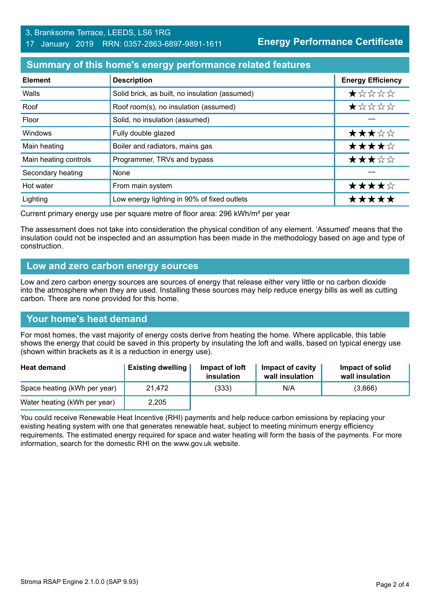#### 3, Branksome Terrace, LEEDS, LS6 1RG 17 January 2019 RRN: 0357-2863-6897-9891-1611

**Energy Performance Certificate**

### **Summary of this home's energy performance related features**

| <b>Element</b>        | <b>Description</b>                             | <b>Energy Efficiency</b> |
|-----------------------|------------------------------------------------|--------------------------|
| Walls                 | Solid brick, as built, no insulation (assumed) | *****                    |
| Roof                  | Roof room(s), no insulation (assumed)          | *****                    |
| Floor                 | Solid, no insulation (assumed)                 |                          |
| Windows               | Fully double glazed                            | ★★★☆☆                    |
| Main heating          | Boiler and radiators, mains gas                | ★★★★☆                    |
| Main heating controls | Programmer, TRVs and bypass                    | ★★★☆☆                    |
| Secondary heating     | None                                           |                          |
| Hot water             | From main system                               | ★★★★☆                    |
| Lighting              | Low energy lighting in 90% of fixed outlets    | *****                    |

Current primary energy use per square metre of floor area: 296 kWh/m² per year

The assessment does not take into consideration the physical condition of any element. 'Assumed' means that the insulation could not be inspected and an assumption has been made in the methodology based on age and type of construction.

#### **Low and zero carbon energy sources**

Low and zero carbon energy sources are sources of energy that release either very little or no carbon dioxide into the atmosphere when they are used. Installing these sources may help reduce energy bills as well as cutting carbon. There are none provided for this home.

# **Your home's heat demand**

For most homes, the vast majority of energy costs derive from heating the home. Where applicable, this table shows the energy that could be saved in this property by insulating the loft and walls, based on typical energy use (shown within brackets as it is a reduction in energy use).

| <b>Heat demand</b>           | <b>Existing dwelling</b> | Impact of loft<br>insulation | Impact of cavity<br>wall insulation | Impact of solid<br>wall insulation |
|------------------------------|--------------------------|------------------------------|-------------------------------------|------------------------------------|
| Space heating (kWh per year) | 21,472                   | (333)                        | N/A                                 | (3,666)                            |
| Water heating (kWh per year) | 2,205                    |                              |                                     |                                    |

You could receive Renewable Heat Incentive (RHI) payments and help reduce carbon emissions by replacing your existing heating system with one that generates renewable heat, subject to meeting minimum energy efficiency requirements. The estimated energy required for space and water heating will form the basis of the payments. For more information, search for the domestic RHI on the www.gov.uk website.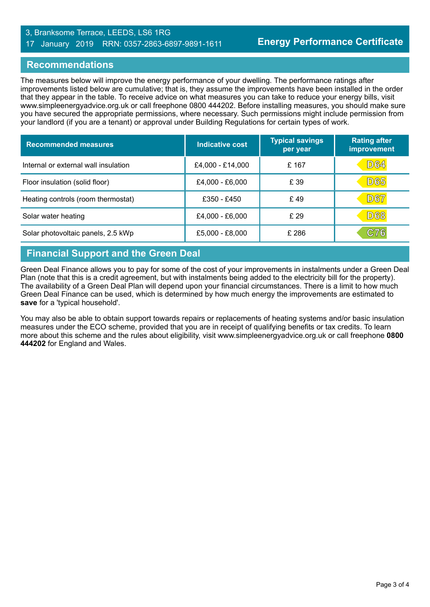#### 3, Branksome Terrace, LEEDS, LS6 1RG 17 January 2019 RRN: 0357-2863-6897-9891-1611

# **Recommendations**

The measures below will improve the energy performance of your dwelling. The performance ratings after improvements listed below are cumulative; that is, they assume the improvements have been installed in the order that they appear in the table. To receive advice on what measures you can take to reduce your energy bills, visit www.simpleenergyadvice.org.uk or call freephone 0800 444202. Before installing measures, you should make sure you have secured the appropriate permissions, where necessary. Such permissions might include permission from your landlord (if you are a tenant) or approval under Building Regulations for certain types of work.

| <b>Recommended measures</b>          | Indicative cost  | <b>Typical savings</b><br>per year | <b>Rating after</b><br>improvement |
|--------------------------------------|------------------|------------------------------------|------------------------------------|
| Internal or external wall insulation | £4,000 - £14,000 | £167                               | <b>D64</b>                         |
| Floor insulation (solid floor)       | £4,000 - £6,000  | £ 39                               | <b>D65</b>                         |
| Heating controls (room thermostat)   | £350 - £450      | £49                                | <b>D67</b>                         |
| Solar water heating                  | £4,000 - £6,000  | £29                                | <b>D68</b>                         |
| Solar photovoltaic panels, 2.5 kWp   | £5,000 - £8,000  | £ 286                              | C76                                |

# **Financial Support and the Green Deal**

Green Deal Finance allows you to pay for some of the cost of your improvements in instalments under a Green Deal Plan (note that this is a credit agreement, but with instalments being added to the electricity bill for the property). The availability of a Green Deal Plan will depend upon your financial circumstances. There is a limit to how much Green Deal Finance can be used, which is determined by how much energy the improvements are estimated to **save** for a 'typical household'.

You may also be able to obtain support towards repairs or replacements of heating systems and/or basic insulation measures under the ECO scheme, provided that you are in receipt of qualifying benefits or tax credits. To learn more about this scheme and the rules about eligibility, visit www.simpleenergyadvice.org.uk or call freephone **0800 444202** for England and Wales.